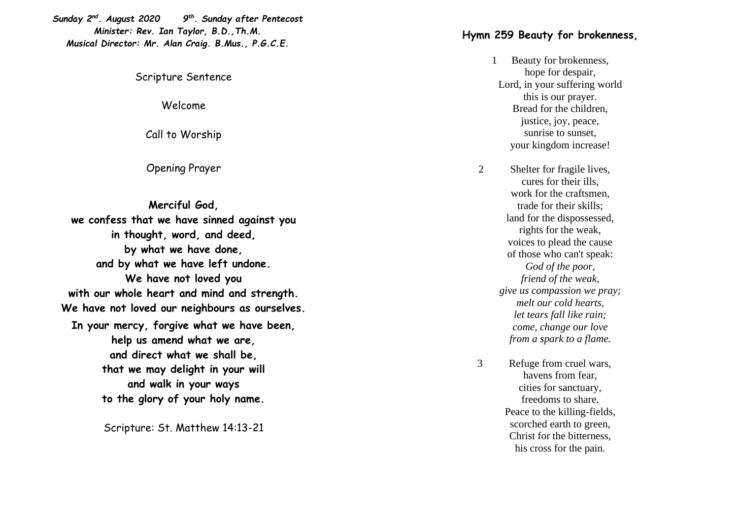*Sunday 2 nd. August 2020 9 th . Sunday after Pentecost Minister: Rev. Ian Taylor, B.D.,Th.M. Musical Director: Mr. Alan Craig. B.Mus., P.G.C.E.*

## Scripture Sentence

Welcome

Call to Worship

Opening Prayer

**Merciful God, we confess that we have sinned against you in thought, word, and deed, by what we have done, and by what we have left undone. We have not loved you with our whole heart and mind and strength. We have not loved our neighbours as ourselves. In your mercy, forgive what we have been, help us amend what we are, and direct what we shall be, that we may delight in your will and walk in your ways to the glory of your holy name.**

Scripture: St. Matthew 14:13 -21

## **Hymn 259 Beauty for brokenness,**

- 1 Beauty for brokenness, hope for despair, Lord, in your suffering world this is our prayer. Bread for the children, justice, joy, peace, sunrise to sunset, your kingdom increase!
- 2 Shelter for fragile lives, cures for their ills, work for the craftsmen, trade for their skills; land for the dispossessed, rights for the weak, voices to plead the cause of those who can't speak: *God of the poor, friend of the weak, give us compassion we pray; melt our cold hearts, let tears fall like rain; come, change our love from a spark to a flame.*
- 3 Refuge from cruel wars, havens from fear, cities for sanctuary, freedoms to share. Peace to the killing -fields, scorched earth to green, Christ for the bitterness, his cross for the pain.